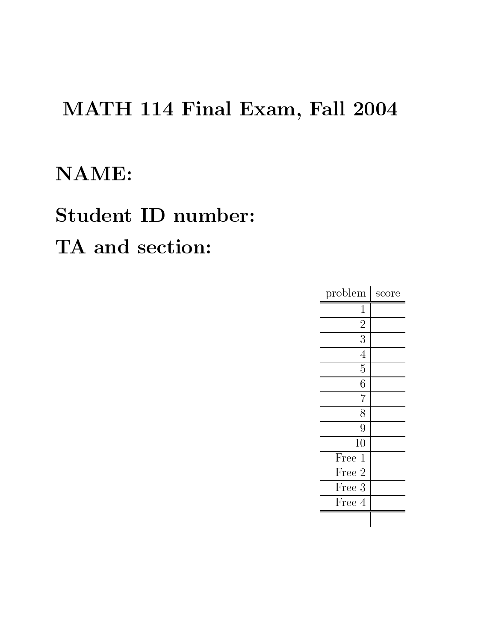## MATH 114 Final Exam, Fall 2004

### NAME:

# Student ID number: TA and section:

| problem        | $\rm score$ |
|----------------|-------------|
| 1              |             |
| $\overline{2}$ |             |
| $\overline{3}$ |             |
| $\overline{4}$ |             |
| 5              |             |
| 6              |             |
| $\overline{7}$ |             |
| 8              |             |
| $\overline{9}$ |             |
| 10             |             |
| Free<br>1      |             |
| Free 2         |             |
| Free 3         |             |
| Free 4         |             |
|                |             |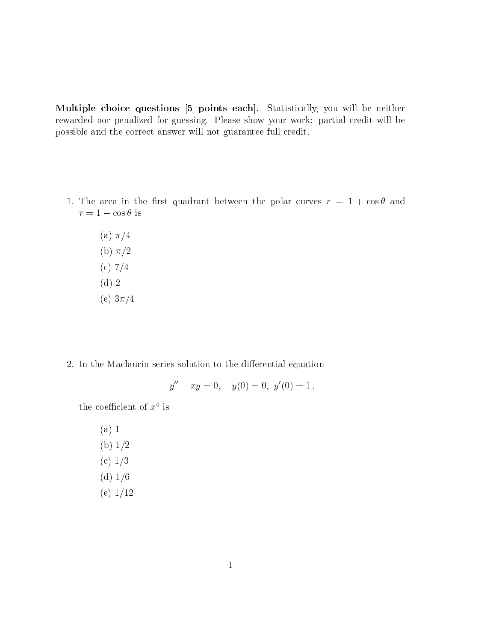Multiple choice questions [5 points each]. Statistically, you will be neither rewarded nor penalized for guessing. Please show your work: partial credit will be possible and the correct answer will not guarantee full credit.

- 1. The area in the first quadrant between the polar curves  $r = 1 + \cos \theta$  and  $r = 1 - \cos \theta$  is
	- (a)  $\pi/4$ (b)  $\pi/2$ (c)  $7/4$  $(d)$  2 (e)  $3\pi/4$
- 2. In the Maclaurin series solution to the differential equation

$$
y'' - xy = 0, \quad y(0) = 0, \ y'(0) = 1,
$$

the coefficient of  $x^4$  is

 $(a) 1$ (b)  $1/2$ (c)  $1/3$ (d)  $1/6$ (e)  $1/12$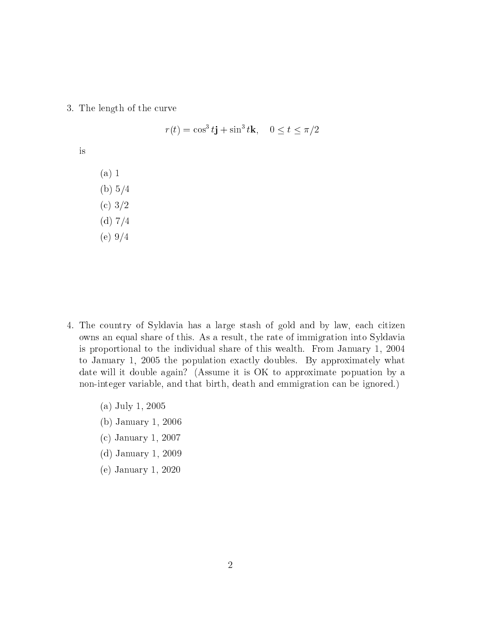3. The length of the urve

$$
r(t) = \cos^3 t \mathbf{j} + \sin^3 t \mathbf{k}, \quad 0 \le t \le \pi/2
$$

is

(a) 1 (b)  $5/4$  $(c) 3/2$ (d)  $7/4$ (e)  $9/4$ 

- 4. The country of Syldavia has a large stash of gold and by law, each citizen owns an equal share of this. As a result, the rate of immigration into Syldavia is proportional to the individual share of this wealth. From January 1, 2004 to January 1, 2005 the population exactly doubles. By approximately what date will it double again? (Assume it is OK to approximate popuation by a non-integer variable, and that birth, death and emmigration can be ignored.)
	- (a) July 1, 2005
	- (b) January 1, 2006
	- (
	) January 1, 2007
	- (d) January 1, 2009
	- (e) January 1, 2020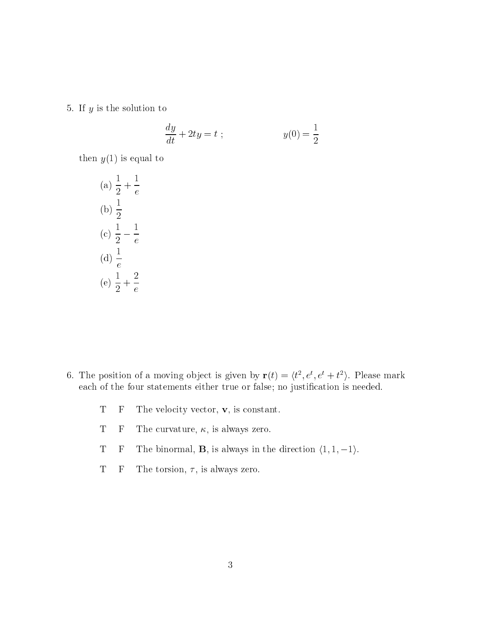5. If  $y$  is the solution to

$$
\frac{dy}{dt} + 2ty = t ; \qquad \qquad y(0) = \frac{1}{2}
$$

then  $y(1)$  is equal to

(a) 
$$
\frac{1}{2} + \frac{1}{e}
$$
  
\n(b)  $\frac{1}{2}$   
\n(c)  $\frac{1}{2} - \frac{1}{e}$   
\n(d)  $\frac{1}{e}$   
\n(e)  $\frac{1}{2} + \frac{2}{e}$ 

- 6. The position of a moving object is given by  ${\bf r}(t) = \langle t^*, e^*, e^* + t^* \rangle$ . Please mark each of the four statements either true or false; no justification is needed.
	- T F The velocity vector, **v**, is constant.
	- T F The curvature,  $\kappa$ , is always zero.
	- T F The binormal, **B**, is always in the direction  $\langle 1, 1, -1 \rangle$ .
	- T F The torsion,  $\tau$ , is always zero.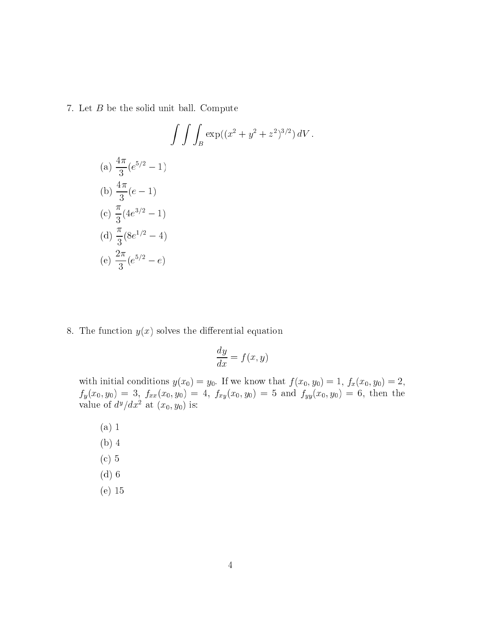7. Let <sup>B</sup> be the solid unit ball. Compute

$$
\int \int \int_{B} \exp((x^2 + y^2 + z^2)^{3/2}) dV.
$$
  
\n(a)  $\frac{4\pi}{3} (e^{5/2} - 1)$   
\n(b)  $\frac{4\pi}{3} (e - 1)$   
\n(c)  $\frac{\pi}{3} (4e^{3/2} - 1)$   
\n(d)  $\frac{\pi}{3} (8e^{1/2} - 4)$   
\n(e)  $\frac{2\pi}{3} (e^{5/2} - e)$ 

8. The function  $y(x)$  solves the differential equation

$$
\frac{dy}{dx} = f(x, y)
$$

 $\cdots$  ,  $\cdots$   $\cdots$   $\cdots$   $\cdots$   $\cdots$   $\cdots$   $\cdots$   $\cdots$   $\cdots$   $\cdots$   $\cdots$   $\cdots$   $\cdots$   $\cdots$   $\cdots$   $\cdots$   $\cdots$   $\cdots$   $\cdots$ function = 3, fraction = 3, fraction = 3, fraction = 3, then the first of the first theory of the first theory value of  $a^2/ax^-$  at  $(x_0, y_0)$  is:

- (a) 1
- (b) 4
- (
) 5
- (d) 6
- (e) 15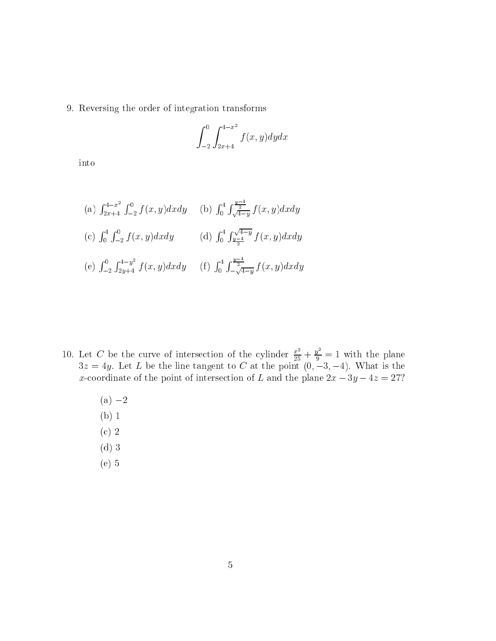9. Reversing the order of integration transforms

$$
\int_{-2}^{0} \int_{2x+4}^{4-x^2} f(x,y) dy dx
$$

into

(a) 
$$
\int_{2x+4}^{4-x^2} \int_{-2}^{0} f(x, y) dx dy
$$
 (b)  $\int_{0}^{4} \int_{\sqrt{4-y}}^{\frac{y-4}{2}} f(x, y) dx dy$   
\n(c)  $\int_{0}^{4} \int_{-2}^{0} f(x, y) dx dy$  (d)  $\int_{0}^{4} \int_{\frac{y-4}{2}}^{\sqrt{4-y}} f(x, y) dx dy$   
\n(e)  $\int_{-2}^{0} \int_{2y+4}^{4-y^2} f(x, y) dx dy$  (f)  $\int_{0}^{4} \int_{-\sqrt{4-y}}^{\frac{y-4}{2}} f(x, y) dx dy$ 

- 10. Let C be the curve of intersection of the cylinder  $\frac{x^2}{25} + \frac{y}{9} = 1$  with the plane 3z = 4y. Let <sup>L</sup> be the line tangent to <sup>C</sup> at the point (0; 3; 4). What is the x-coordinate of the point of intersection of L and the plane  $2x - 3y - 4z = 27$ ?
	- $(a) -2$
	- (b) 1
	- $(c)$  2
	- (d) 3
	- (e) 5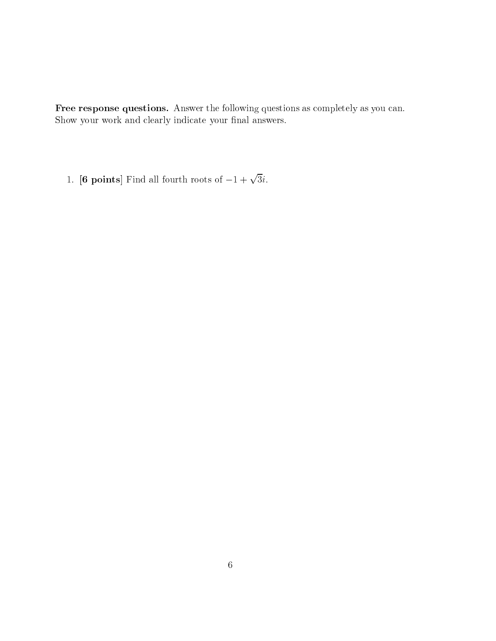Free response questions. Answer the following questions as completely as you can. Show your work and clearly indicate your final answers.

1. **[6 points]** Find all fourth roots of  $-1 + \sqrt{3}i$ .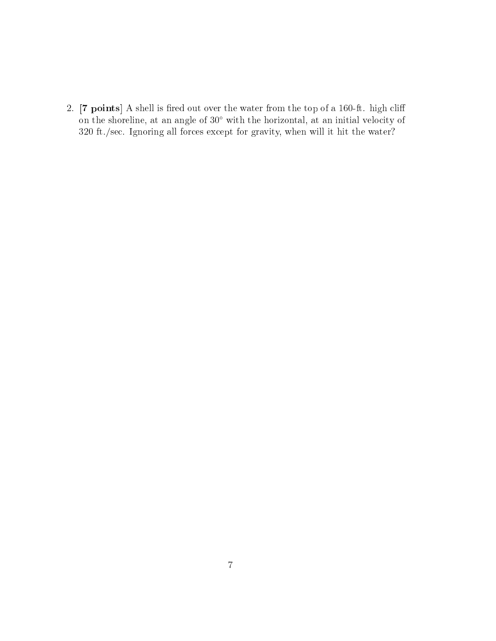2. [7 points] A shell is fired out over the water from the top of a 160-ft. high cliff on the shoreline, at an angle of 30° with the horizontal, at an initial velocity of 320 ft./sec. Ignoring all forces except for gravity, when will it hit the water?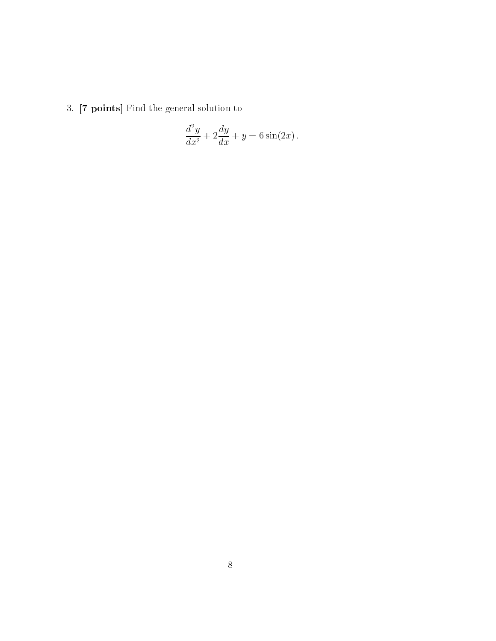3. [7 points] Find the general solution to

$$
\frac{d^2y}{dx^2} + 2\frac{dy}{dx} + y = 6\sin(2x).
$$